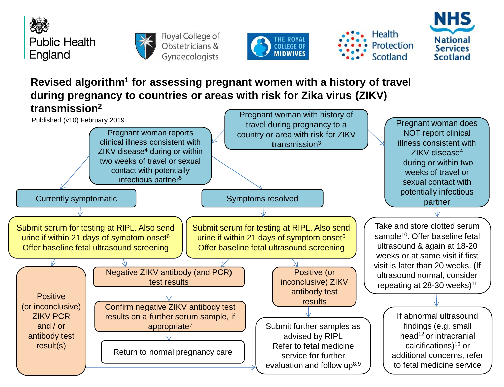



Royal College of Obstetricians & Gynaecologists







**Revised algorithm<sup>1</sup> for assessing pregnant women with a history of travel during pregnancy to countries or areas with risk for Zika virus (ZIKV) transmission<sup>2</sup>**